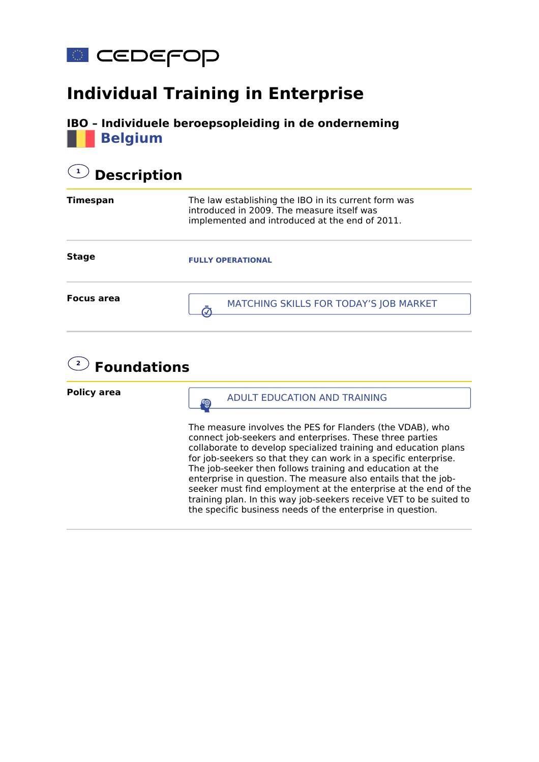

## **Individual Training in Enterprise**



## **1 Description**

| Timespan          | The law establishing the IBO in its current form was<br>introduced in 2009. The measure itself was<br>implemented and introduced at the end of 2011. |
|-------------------|------------------------------------------------------------------------------------------------------------------------------------------------------|
| <b>Stage</b>      | <b>FULLY OPERATIONAL</b>                                                                                                                             |
| <b>Focus area</b> | MATCHING SKILLS FOR TODAY'S JOB MARKET                                                                                                               |

## **2 Foundations**

**Policy area**

**SUBARFIELD ADULT EDUCATION AND TRAINING** 

The measure involves the PES for Flanders (the VDAB), who connect job-seekers and enterprises. These three parties collaborate to develop specialized training and education plans for job-seekers so that they can work in a specific enterprise. The job-seeker then follows training and education at the enterprise in question. The measure also entails that the jobseeker must find employment at the enterprise at the end of the training plan. In this way job-seekers receive VET to be suited to the specific business needs of the enterprise in question.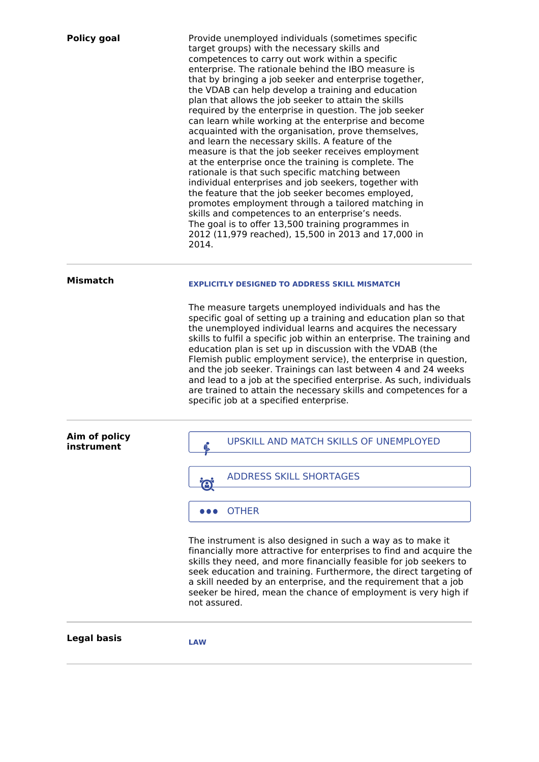| <b>Policy goal</b>          | Provide unemployed individuals (sometimes specific<br>target groups) with the necessary skills and<br>competences to carry out work within a specific<br>enterprise. The rationale behind the IBO measure is<br>that by bringing a job seeker and enterprise together,<br>the VDAB can help develop a training and education<br>plan that allows the job seeker to attain the skills<br>required by the enterprise in question. The job seeker<br>can learn while working at the enterprise and become<br>acquainted with the organisation, prove themselves,<br>and learn the necessary skills. A feature of the<br>measure is that the job seeker receives employment<br>at the enterprise once the training is complete. The<br>rationale is that such specific matching between<br>individual enterprises and job seekers, together with<br>the feature that the job seeker becomes employed,<br>promotes employment through a tailored matching in<br>skills and competences to an enterprise's needs.<br>The goal is to offer 13,500 training programmes in<br>2012 (11,979 reached), 15,500 in 2013 and 17,000 in<br>2014. |
|-----------------------------|-----------------------------------------------------------------------------------------------------------------------------------------------------------------------------------------------------------------------------------------------------------------------------------------------------------------------------------------------------------------------------------------------------------------------------------------------------------------------------------------------------------------------------------------------------------------------------------------------------------------------------------------------------------------------------------------------------------------------------------------------------------------------------------------------------------------------------------------------------------------------------------------------------------------------------------------------------------------------------------------------------------------------------------------------------------------------------------------------------------------------------------|
| <b>Mismatch</b>             | <b>EXPLICITLY DESIGNED TO ADDRESS SKILL MISMATCH</b><br>The measure targets unemployed individuals and has the<br>specific goal of setting up a training and education plan so that<br>the unemployed individual learns and acquires the necessary<br>skills to fulfil a specific job within an enterprise. The training and<br>education plan is set up in discussion with the VDAB (the<br>Flemish public employment service), the enterprise in question,<br>and the job seeker. Trainings can last between 4 and 24 weeks<br>and lead to a job at the specified enterprise. As such, individuals<br>are trained to attain the necessary skills and competences for a<br>specific job at a specified enterprise.                                                                                                                                                                                                                                                                                                                                                                                                               |
| Aim of policy<br>instrument | UPSKILL AND MATCH SKILLS OF UNEMPLOYED                                                                                                                                                                                                                                                                                                                                                                                                                                                                                                                                                                                                                                                                                                                                                                                                                                                                                                                                                                                                                                                                                            |
|                             | <b>ADDRESS SKILL SHORTAGES</b><br>O                                                                                                                                                                                                                                                                                                                                                                                                                                                                                                                                                                                                                                                                                                                                                                                                                                                                                                                                                                                                                                                                                               |
|                             | <b>OTHER</b>                                                                                                                                                                                                                                                                                                                                                                                                                                                                                                                                                                                                                                                                                                                                                                                                                                                                                                                                                                                                                                                                                                                      |
|                             | The instrument is also designed in such a way as to make it<br>financially more attractive for enterprises to find and acquire the<br>skills they need, and more financially feasible for job seekers to<br>seek education and training. Furthermore, the direct targeting of<br>a skill needed by an enterprise, and the requirement that a job<br>seeker be hired, mean the chance of employment is very high if<br>not assured.                                                                                                                                                                                                                                                                                                                                                                                                                                                                                                                                                                                                                                                                                                |
| <b>Legal basis</b>          | <b>LAW</b>                                                                                                                                                                                                                                                                                                                                                                                                                                                                                                                                                                                                                                                                                                                                                                                                                                                                                                                                                                                                                                                                                                                        |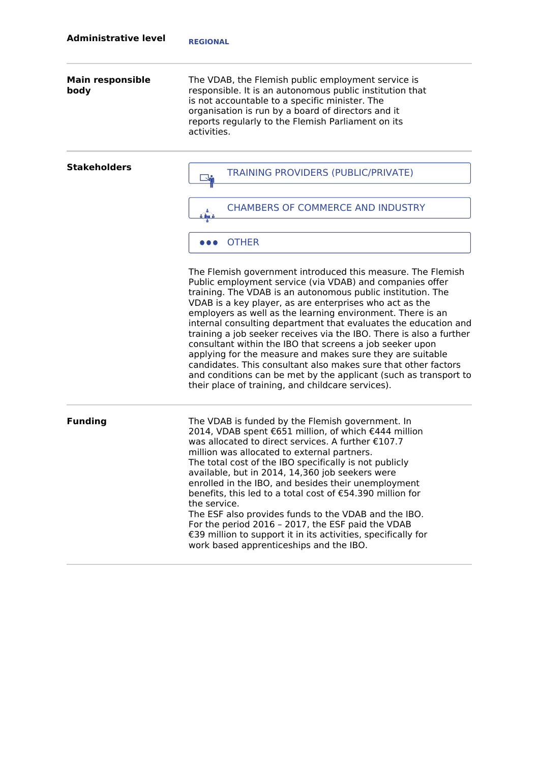| <b>Main responsible</b><br>body | The VDAB, the Flemish public employment service is<br>responsible. It is an autonomous public institution that<br>is not accountable to a specific minister. The<br>organisation is run by a board of directors and it<br>reports regularly to the Flemish Parliament on its<br>activities.                                                                                                                                                                                                                                                                                                                                                                                                                                                                                   |
|---------------------------------|-------------------------------------------------------------------------------------------------------------------------------------------------------------------------------------------------------------------------------------------------------------------------------------------------------------------------------------------------------------------------------------------------------------------------------------------------------------------------------------------------------------------------------------------------------------------------------------------------------------------------------------------------------------------------------------------------------------------------------------------------------------------------------|
| <b>Stakeholders</b>             | <b>TRAINING PROVIDERS (PUBLIC/PRIVATE)</b>                                                                                                                                                                                                                                                                                                                                                                                                                                                                                                                                                                                                                                                                                                                                    |
|                                 | <b>CHAMBERS OF COMMERCE AND INDUSTRY</b><br>$6$ that $8$                                                                                                                                                                                                                                                                                                                                                                                                                                                                                                                                                                                                                                                                                                                      |
|                                 | <b>OTHER</b>                                                                                                                                                                                                                                                                                                                                                                                                                                                                                                                                                                                                                                                                                                                                                                  |
|                                 | The Flemish government introduced this measure. The Flemish<br>Public employment service (via VDAB) and companies offer<br>training. The VDAB is an autonomous public institution. The<br>VDAB is a key player, as are enterprises who act as the<br>employers as well as the learning environment. There is an<br>internal consulting department that evaluates the education and<br>training a job seeker receives via the IBO. There is also a further<br>consultant within the IBO that screens a job seeker upon<br>applying for the measure and makes sure they are suitable<br>candidates. This consultant also makes sure that other factors<br>and conditions can be met by the applicant (such as transport to<br>their place of training, and childcare services). |
| <b>Funding</b>                  | The VDAB is funded by the Flemish government. In<br>2014, VDAB spent €651 million, of which €444 million<br>was allocated to direct services. A further €107.7<br>million was allocated to external partners.<br>The total cost of the IBO specifically is not publicly<br>available, but in 2014, 14,360 job seekers were<br>enrolled in the IBO, and besides their unemployment<br>benefits, this led to a total cost of €54.390 million for<br>the service.<br>The ESF also provides funds to the VDAB and the IBO.<br>For the period 2016 - 2017, the ESF paid the VDAB<br>€39 million to support it in its activities, specifically for<br>work based apprenticeships and the IBO.                                                                                       |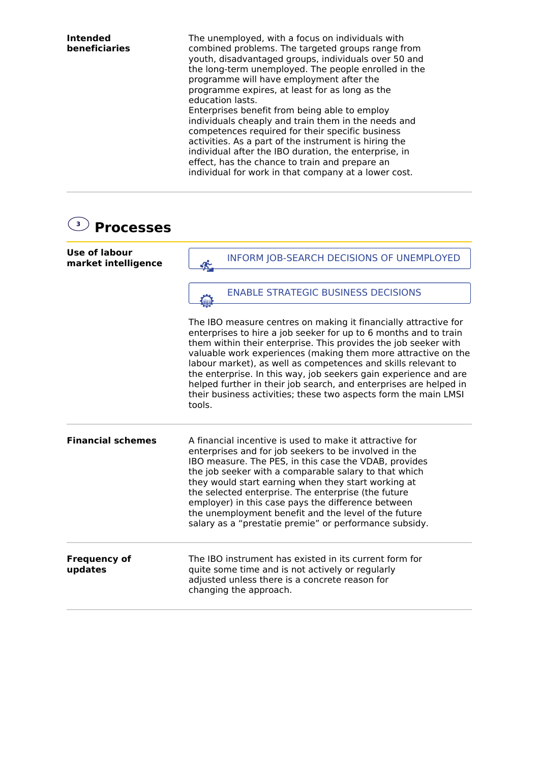| <b>Intended</b><br>beneficiaries | The unemployed, with a focus on individuals with<br>combined problems. The targeted groups range from<br>youth, disadvantaged groups, individuals over 50 and<br>the long-term unemployed. The people enrolled in the<br>programme will have employment after the<br>programme expires, at least for as long as the<br>education lasts.<br>Enterprises benefit from being able to employ<br>individuals cheaply and train them in the needs and<br>competences required for their specific business<br>activities. As a part of the instrument is hiring the<br>individual after the IBO duration, the enterprise, in |
|----------------------------------|-----------------------------------------------------------------------------------------------------------------------------------------------------------------------------------------------------------------------------------------------------------------------------------------------------------------------------------------------------------------------------------------------------------------------------------------------------------------------------------------------------------------------------------------------------------------------------------------------------------------------|
|                                  | effect, has the chance to train and prepare an<br>individual for work in that company at a lower cost.                                                                                                                                                                                                                                                                                                                                                                                                                                                                                                                |

| 3 <sup>7</sup><br><b>Processes</b>   |                                                                                                                                                                                                                                                                                                                                                                                                                                                                                                                                                                |
|--------------------------------------|----------------------------------------------------------------------------------------------------------------------------------------------------------------------------------------------------------------------------------------------------------------------------------------------------------------------------------------------------------------------------------------------------------------------------------------------------------------------------------------------------------------------------------------------------------------|
| Use of labour<br>market intelligence | <b>INFORM JOB-SEARCH DECISIONS OF UNEMPLOYED</b><br>纶                                                                                                                                                                                                                                                                                                                                                                                                                                                                                                          |
|                                      | <b>ENABLE STRATEGIC BUSINESS DECISIONS</b>                                                                                                                                                                                                                                                                                                                                                                                                                                                                                                                     |
|                                      | The IBO measure centres on making it financially attractive for<br>enterprises to hire a job seeker for up to 6 months and to train<br>them within their enterprise. This provides the job seeker with<br>valuable work experiences (making them more attractive on the<br>labour market), as well as competences and skills relevant to<br>the enterprise. In this way, job seekers gain experience and are<br>helped further in their job search, and enterprises are helped in<br>their business activities; these two aspects form the main LMSI<br>tools. |
| <b>Financial schemes</b>             | A financial incentive is used to make it attractive for<br>enterprises and for job seekers to be involved in the<br>IBO measure. The PES, in this case the VDAB, provides<br>the job seeker with a comparable salary to that which<br>they would start earning when they start working at<br>the selected enterprise. The enterprise (the future<br>employer) in this case pays the difference between<br>the unemployment benefit and the level of the future<br>salary as a "prestatie premie" or performance subsidy.                                       |
| <b>Frequency of</b><br>updates       | The IBO instrument has existed in its current form for<br>quite some time and is not actively or regularly<br>adjusted unless there is a concrete reason for<br>changing the approach.                                                                                                                                                                                                                                                                                                                                                                         |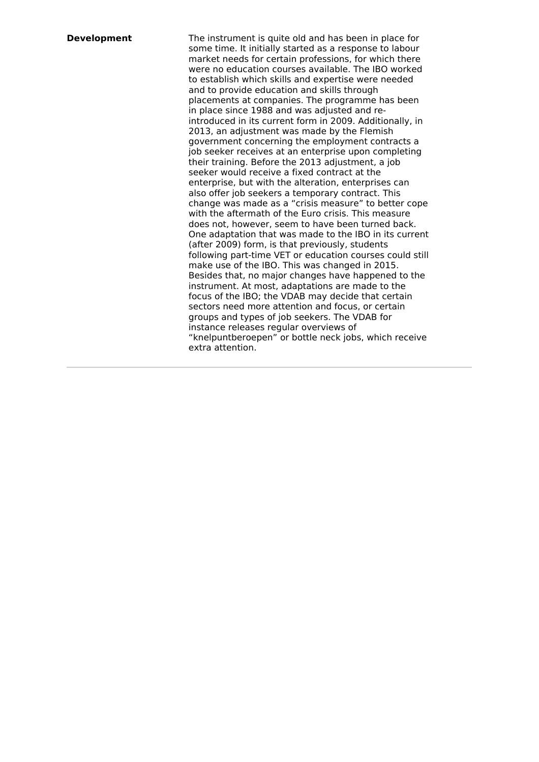**Development** The instrument is quite old and has been in place for some time. It initially started as a response to labour market needs for certain professions, for which there were no education courses available. The IBO worked to establish which skills and expertise were needed and to provide education and skills through placements at companies. The programme has been in place since 1988 and was adjusted and reintroduced in its current form in 2009. Additionally, in 2013, an adjustment was made by the Flemish government concerning the employment contracts a job seeker receives at an enterprise upon completing their training. Before the 2013 adjustment, a job seeker would receive a fixed contract at the enterprise, but with the alteration, enterprises can also offer job seekers a temporary contract. This change was made as a "crisis measure" to better cope with the aftermath of the Euro crisis. This measure does not, however, seem to have been turned back. One adaptation that was made to the IBO in its current (after 2009) form, is that previously, students following part-time VET or education courses could still make use of the IBO. This was changed in 2015. Besides that, no major changes have happened to the instrument. At most, adaptations are made to the focus of the IBO; the VDAB may decide that certain sectors need more attention and focus, or certain groups and types of job seekers. The VDAB for instance releases regular overviews of "knelpuntberoepen" or bottle neck jobs, which receive extra attention.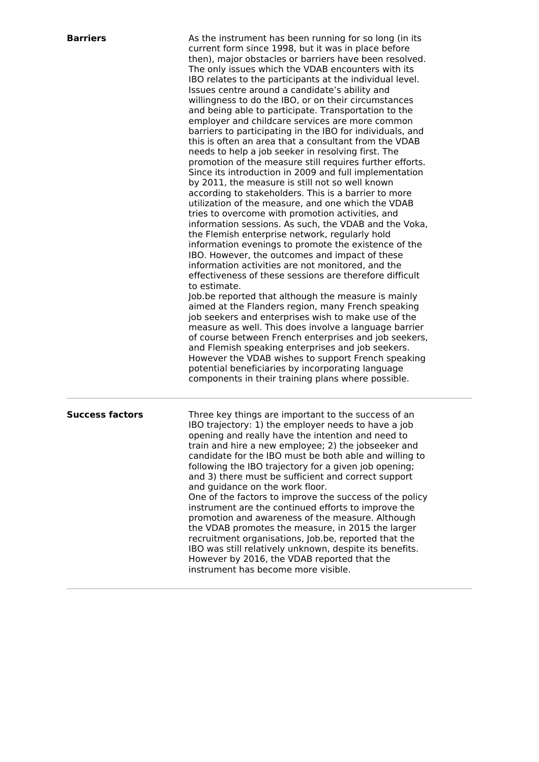| Barriers |  |
|----------|--|
|          |  |
|          |  |

**Barriers** As the instrument has been running for so long (in its current form since 1998, but it was in place before then), major obstacles or barriers have been resolved. The only issues which the VDAB encounters with its IBO relates to the participants at the individual level. Issues centre around a candidate's ability and willingness to do the IBO, or on their circumstances and being able to participate. Transportation to the employer and childcare services are more common barriers to participating in the IBO for individuals, and this is often an area that a consultant from the VDAB needs to help a job seeker in resolving first. The promotion of the measure still requires further efforts. Since its introduction in 2009 and full implementation by 2011, the measure is still not so well known according to stakeholders. This is a barrier to more utilization of the measure, and one which the VDAB tries to overcome with promotion activities, and information sessions. As such, the VDAB and the Voka, the Flemish enterprise network, regularly hold information evenings to promote the existence of the IBO. However, the outcomes and impact of these information activities are not monitored, and the effectiveness of these sessions are therefore difficult to estimate. Job.be reported that although the measure is mainly aimed at the Flanders region, many French speaking job seekers and enterprises wish to make use of the measure as well. This does involve a language barrier of course between French enterprises and job seekers,

and Flemish speaking enterprises and job seekers. However the VDAB wishes to support French speaking potential beneficiaries by incorporating language components in their training plans where possible.

**Success factors** Three key things are important to the success of an IBO trajectory: 1) the employer needs to have a job opening and really have the intention and need to train and hire a new employee; 2) the jobseeker and candidate for the IBO must be both able and willing to following the IBO trajectory for a given job opening; and 3) there must be sufficient and correct support and guidance on the work floor. One of the factors to improve the success of the policy instrument are the continued efforts to improve the promotion and awareness of the measure. Although the VDAB promotes the measure, in 2015 the larger recruitment organisations, Job.be, reported that the IBO was still relatively unknown, despite its benefits. However by 2016, the VDAB reported that the instrument has become more visible.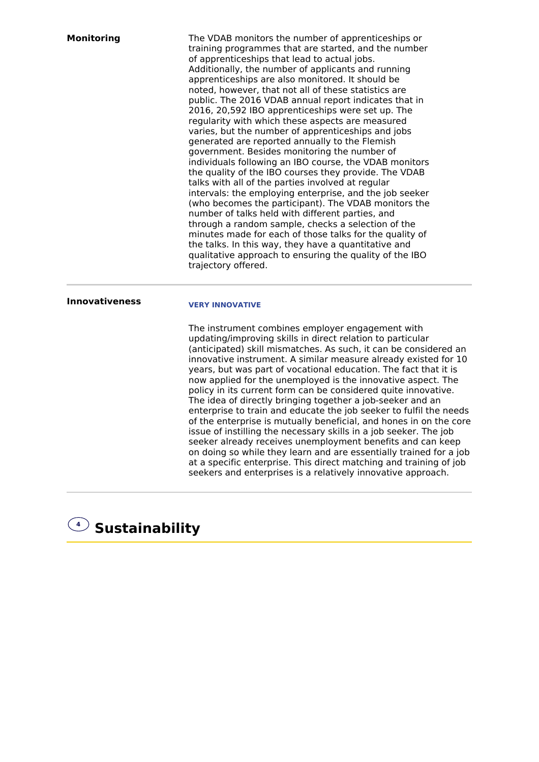| <b>Monitoring</b>     | The VDAB monitors the number of apprenticeships or<br>training programmes that are started, and the number<br>of apprenticeships that lead to actual jobs.<br>Additionally, the number of applicants and running<br>apprenticeships are also monitored. It should be<br>noted, however, that not all of these statistics are<br>public. The 2016 VDAB annual report indicates that in<br>2016, 20,592 IBO apprenticeships were set up. The<br>regularity with which these aspects are measured<br>varies, but the number of apprenticeships and jobs<br>generated are reported annually to the Flemish<br>government. Besides monitoring the number of<br>individuals following an IBO course, the VDAB monitors<br>the quality of the IBO courses they provide. The VDAB<br>talks with all of the parties involved at regular<br>intervals: the employing enterprise, and the job seeker<br>(who becomes the participant). The VDAB monitors the<br>number of talks held with different parties, and<br>through a random sample, checks a selection of the<br>minutes made for each of those talks for the quality of<br>the talks. In this way, they have a quantitative and<br>qualitative approach to ensuring the quality of the IBO<br>trajectory offered. |
|-----------------------|------------------------------------------------------------------------------------------------------------------------------------------------------------------------------------------------------------------------------------------------------------------------------------------------------------------------------------------------------------------------------------------------------------------------------------------------------------------------------------------------------------------------------------------------------------------------------------------------------------------------------------------------------------------------------------------------------------------------------------------------------------------------------------------------------------------------------------------------------------------------------------------------------------------------------------------------------------------------------------------------------------------------------------------------------------------------------------------------------------------------------------------------------------------------------------------------------------------------------------------------------------------|
| <b>Innovativeness</b> | <b>VERY INNOVATIVE</b>                                                                                                                                                                                                                                                                                                                                                                                                                                                                                                                                                                                                                                                                                                                                                                                                                                                                                                                                                                                                                                                                                                                                                                                                                                           |
|                       | The instrument combines employer engagement with<br>updating/improving skills in direct relation to particular<br>(anticipated) skill mismatches. As such, it can be considered an<br>innovative instrument. A similar measure already existed for 10<br>years, but was part of vocational education. The fact that it is<br>now applied for the unemployed is the innovative aspect. The<br>policy in its current form can be considered quite innovative.<br>The idea of directly bringing together a job-seeker and an<br>enterprise to train and educate the job seeker to fulfil the needs                                                                                                                                                                                                                                                                                                                                                                                                                                                                                                                                                                                                                                                                  |

**<sup>4</sup> Sustainability**

of the enterprise is mutually beneficial, and hones in on the core issue of instilling the necessary skills in a job seeker. The job seeker already receives unemployment benefits and can keep on doing so while they learn and are essentially trained for a job at a specific enterprise. This direct matching and training of job seekers and enterprises is a relatively innovative approach.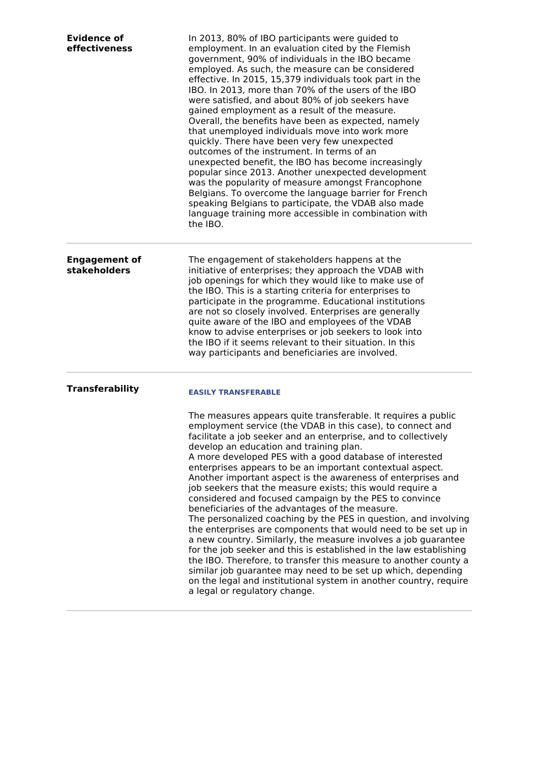| <b>Evidence of</b><br>effectiveness         | In 2013, 80% of IBO participants were guided to<br>employment. In an evaluation cited by the Flemish<br>government, 90% of individuals in the IBO became<br>employed. As such, the measure can be considered<br>effective. In 2015, 15,379 individuals took part in the<br>IBO. In 2013, more than 70% of the users of the IBO<br>were satisfied, and about 80% of job seekers have<br>gained employment as a result of the measure.<br>Overall, the benefits have been as expected, namely<br>that unemployed individuals move into work more<br>quickly. There have been very few unexpected<br>outcomes of the instrument. In terms of an<br>unexpected benefit, the IBO has become increasingly<br>popular since 2013. Another unexpected development<br>was the popularity of measure amongst Francophone<br>Belgians. To overcome the language barrier for French<br>speaking Belgians to participate, the VDAB also made<br>language training more accessible in combination with<br>the IBO.                                                                                                                                                            |
|---------------------------------------------|-----------------------------------------------------------------------------------------------------------------------------------------------------------------------------------------------------------------------------------------------------------------------------------------------------------------------------------------------------------------------------------------------------------------------------------------------------------------------------------------------------------------------------------------------------------------------------------------------------------------------------------------------------------------------------------------------------------------------------------------------------------------------------------------------------------------------------------------------------------------------------------------------------------------------------------------------------------------------------------------------------------------------------------------------------------------------------------------------------------------------------------------------------------------|
| <b>Engagement of</b><br><b>stakeholders</b> | The engagement of stakeholders happens at the<br>initiative of enterprises; they approach the VDAB with<br>job openings for which they would like to make use of<br>the IBO. This is a starting criteria for enterprises to<br>participate in the programme. Educational institutions<br>are not so closely involved. Enterprises are generally<br>quite aware of the IBO and employees of the VDAB<br>know to advise enterprises or job seekers to look into<br>the IBO if it seems relevant to their situation. In this<br>way participants and beneficiaries are involved.                                                                                                                                                                                                                                                                                                                                                                                                                                                                                                                                                                                   |
| <b>Transferability</b>                      | <b>EASILY TRANSFERABLE</b><br>The measures appears quite transferable. It requires a public<br>employment service (the VDAB in this case), to connect and<br>facilitate a job seeker and an enterprise, and to collectively<br>develop an education and training plan.<br>A more developed PES with a good database of interested<br>enterprises appears to be an important contextual aspect.<br>Another important aspect is the awareness of enterprises and<br>job seekers that the measure exists; this would require a<br>considered and focused campaign by the PES to convince<br>beneficiaries of the advantages of the measure.<br>The personalized coaching by the PES in question, and involving<br>the enterprises are components that would need to be set up in<br>a new country. Similarly, the measure involves a job guarantee<br>for the job seeker and this is established in the law establishing<br>the IBO. Therefore, to transfer this measure to another county a<br>similar job guarantee may need to be set up which, depending<br>on the legal and institutional system in another country, require<br>a legal or regulatory change. |